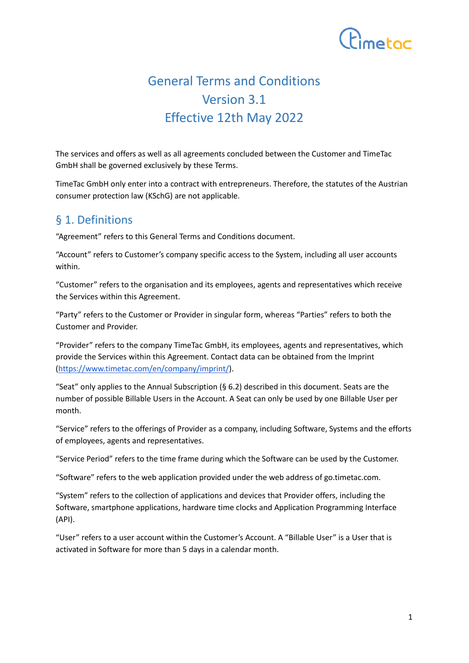

# General Terms and Conditions Version 3.1 Effective 12th May 2022

The services and offers as well as all agreements concluded between the Customer and TimeTac GmbH shall be governed exclusively by these Terms.

TimeTac GmbH only enter into a contract with entrepreneurs. Therefore, the statutes of the Austrian consumer protection law (KSchG) are not applicable.

### § 1. Definitions

"Agreement" refers to this General Terms and Conditions document.

"Account" refers to Customer's company specific access to the System, including all user accounts within.

"Customer" refers to the organisation and its employees, agents and representatives which receive the Services within this Agreement.

"Party" refers to the Customer or Provider in singular form, whereas "Parties" refers to both the Customer and Provider.

"Provider" refers to the company TimeTac GmbH, its employees, agents and representatives, which provide the Services within this Agreement. Contact data can be obtained from the Imprint [\(https://www.timetac.com/en/company/imprint/](https://www.timetac.com/en/company/imprint/)).

"Seat" only applies to the Annual Subscription ( $\S 6.2$ ) described in this document. Seats are the number of possible Billable Users in the Account. A Seat can only be used by one Billable User per month.

"Service" refers to the offerings of Provider as a company, including Software, Systems and the efforts of employees, agents and representatives.

"Service Period" refers to the time frame during which the Software can be used by the Customer.

"Software" refers to the web application provided under the web address of go.timetac.com.

"System" refers to the collection of applications and devices that Provider offers, including the Software, smartphone applications, hardware time clocks and Application Programming Interface (API).

"User" refers to a user account within the Customer's Account. A "Billable User" is a User that is activated in Software for more than 5 days in a calendar month.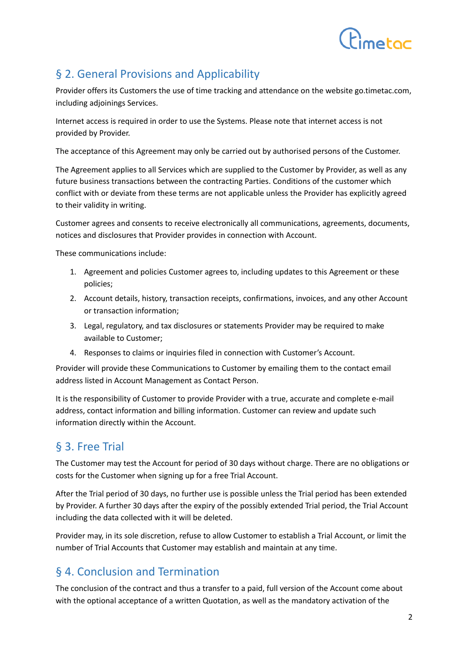

## § 2. General Provisions and Applicability

Provider offers its Customers the use of time tracking and attendance on the website go.timetac.com, including adjoinings Services.

Internet access is required in order to use the Systems. Please note that internet access is not provided by Provider.

The acceptance of this Agreement may only be carried out by authorised persons of the Customer.

The Agreement applies to all Services which are supplied to the Customer by Provider, as well as any future business transactions between the contracting Parties. Conditions of the customer which conflict with or deviate from these terms are not applicable unless the Provider has explicitly agreed to their validity in writing.

Customer agrees and consents to receive electronically all communications, agreements, documents, notices and disclosures that Provider provides in connection with Account.

These communications include:

- 1. Agreement and policies Customer agrees to, including updates to this Agreement or these policies;
- 2. Account details, history, transaction receipts, confirmations, invoices, and any other Account or transaction information;
- 3. Legal, regulatory, and tax disclosures or statements Provider may be required to make available to Customer;
- 4. Responses to claims or inquiries filed in connection with Customer's Account.

Provider will provide these Communications to Customer by emailing them to the contact email address listed in Account Management as Contact Person.

It is the responsibility of Customer to provide Provider with a true, accurate and complete e-mail address, contact information and billing information. Customer can review and update such information directly within the Account.

## § 3. Free Trial

The Customer may test the Account for period of 30 days without charge. There are no obligations or costs for the Customer when signing up for a free Trial Account.

After the Trial period of 30 days, no further use is possible unless the Trial period has been extended by Provider. A further 30 days after the expiry of the possibly extended Trial period, the Trial Account including the data collected with it will be deleted.

Provider may, in its sole discretion, refuse to allow Customer to establish a Trial Account, or limit the number of Trial Accounts that Customer may establish and maintain at any time.

## § 4. Conclusion and Termination

The conclusion of the contract and thus a transfer to a paid, full version of the Account come about with the optional acceptance of a written Quotation, as well as the mandatory activation of the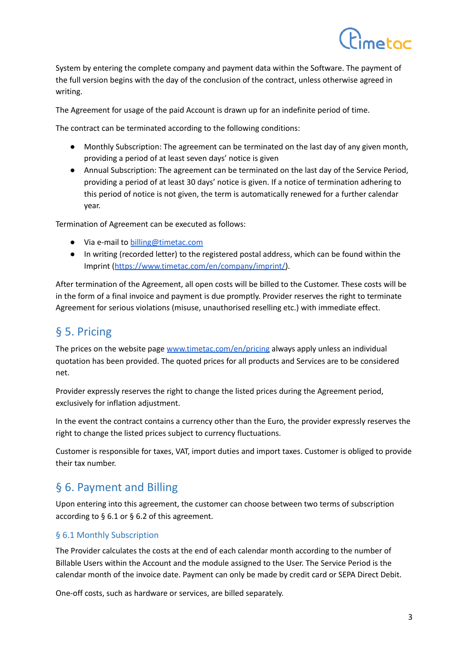System by entering the complete company and payment data within the Software. The payment of the full version begins with the day of the conclusion of the contract, unless otherwise agreed in writing.

The Agreement for usage of the paid Account is drawn up for an indefinite period of time.

The contract can be terminated according to the following conditions:

- Monthly Subscription: The agreement can be terminated on the last day of any given month, providing a period of at least seven days' notice is given
- Annual Subscription: The agreement can be terminated on the last day of the Service Period, providing a period of at least 30 days' notice is given. If a notice of termination adhering to this period of notice is not given, the term is automatically renewed for a further calendar year.

Termination of Agreement can be executed as follows:

- Via e-mail to **[billing@timetac.com](mailto:billing@timetac.com)**
- In writing (recorded letter) to the registered postal address, which can be found within the Imprint ([https://www.timetac.com/en/company/imprint/\)](https://www.timetac.com/en/company/imprint/).

After termination of the Agreement, all open costs will be billed to the Customer. These costs will be in the form of a final invoice and payment is due promptly. Provider reserves the right to terminate Agreement for serious violations (misuse, unauthorised reselling etc.) with immediate effect.

## § 5. Pricing

The prices on the website page [www.timetac.com/en/pricing](http://www.timetac.com/en/pricing) always apply unless an individual quotation has been provided. The quoted prices for all products and Services are to be considered net.

Provider expressly reserves the right to change the listed prices during the Agreement period, exclusively for inflation adjustment.

In the event the contract contains a currency other than the Euro, the provider expressly reserves the right to change the listed prices subject to currency fluctuations.

Customer is responsible for taxes, VAT, import duties and import taxes. Customer is obliged to provide their tax number.

## § 6. Payment and Billing

Upon entering into this agreement, the customer can choose between two terms of subscription according to § 6.1 or § 6.2 of this agreement.

#### § 6.1 Monthly Subscription

The Provider calculates the costs at the end of each calendar month according to the number of Billable Users within the Account and the module assigned to the User. The Service Period is the calendar month of the invoice date. Payment can only be made by credit card or SEPA Direct Debit.

One-off costs, such as hardware or services, are billed separately.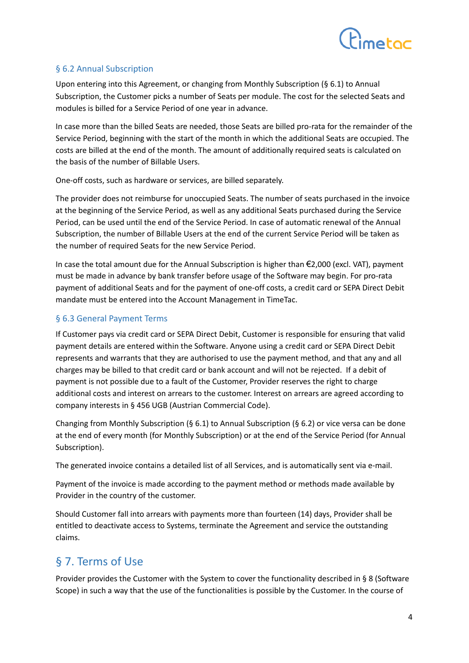

#### § 6.2 Annual Subscription

Upon entering into this Agreement, or changing from Monthly Subscription (§ 6.1) to Annual Subscription, the Customer picks a number of Seats per module. The cost for the selected Seats and modules is billed for a Service Period of one year in advance.

In case more than the billed Seats are needed, those Seats are billed pro-rata for the remainder of the Service Period, beginning with the start of the month in which the additional Seats are occupied. The costs are billed at the end of the month. The amount of additionally required seats is calculated on the basis of the number of Billable Users.

One-off costs, such as hardware or services, are billed separately.

The provider does not reimburse for unoccupied Seats. The number of seats purchased in the invoice at the beginning of the Service Period, as well as any additional Seats purchased during the Service Period, can be used until the end of the Service Period. In case of automatic renewal of the Annual Subscription, the number of Billable Users at the end of the current Service Period will be taken as the number of required Seats for the new Service Period.

In case the total amount due for the Annual Subscription is higher than €2,000 (excl. VAT), payment must be made in advance by bank transfer before usage of the Software may begin. For pro-rata payment of additional Seats and for the payment of one-off costs, a credit card or SEPA Direct Debit mandate must be entered into the Account Management in TimeTac.

#### § 6.3 General Payment Terms

If Customer pays via credit card or SEPA Direct Debit, Customer is responsible for ensuring that valid payment details are entered within the Software. Anyone using a credit card or SEPA Direct Debit represents and warrants that they are authorised to use the payment method, and that any and all charges may be billed to that credit card or bank account and will not be rejected. If a debit of payment is not possible due to a fault of the Customer, Provider reserves the right to charge additional costs and interest on arrears to the customer. Interest on arrears are agreed according to company interests in § 456 UGB (Austrian Commercial Code).

Changing from Monthly Subscription (§ 6.1) to Annual Subscription (§ 6.2) or vice versa can be done at the end of every month (for Monthly Subscription) or at the end of the Service Period (for Annual Subscription).

The generated invoice contains a detailed list of all Services, and is automatically sent via e-mail.

Payment of the invoice is made according to the payment method or methods made available by Provider in the country of the customer.

Should Customer fall into arrears with payments more than fourteen (14) days, Provider shall be entitled to deactivate access to Systems, terminate the Agreement and service the outstanding claims.

## § 7. Terms of Use

Provider provides the Customer with the System to cover the functionality described in § 8 (Software Scope) in such a way that the use of the functionalities is possible by the Customer. In the course of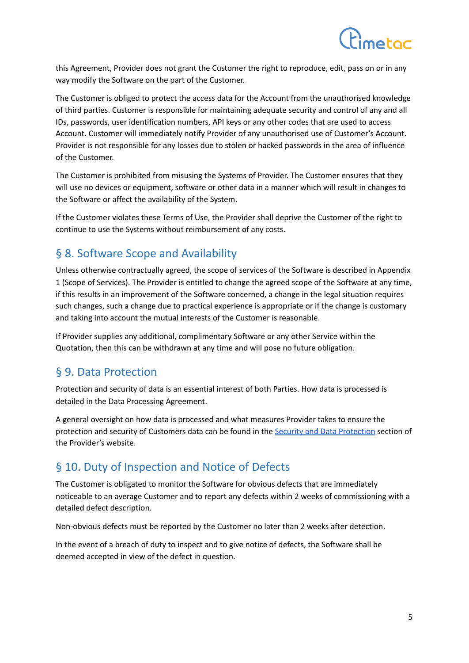

this Agreement, Provider does not grant the Customer the right to reproduce, edit, pass on or in any way modify the Software on the part of the Customer.

The Customer is obliged to protect the access data for the Account from the unauthorised knowledge of third parties. Customer is responsible for maintaining adequate security and control of any and all IDs, passwords, user identification numbers, API keys or any other codes that are used to access Account. Customer will immediately notify Provider of any unauthorised use of Customer's Account. Provider is not responsible for any losses due to stolen or hacked passwords in the area of influence of the Customer.

The Customer is prohibited from misusing the Systems of Provider. The Customer ensures that they will use no devices or equipment, software or other data in a manner which will result in changes to the Software or affect the availability of the System.

If the Customer violates these Terms of Use, the Provider shall deprive the Customer of the right to continue to use the Systems without reimbursement of any costs.

### § 8. Software Scope and Availability

Unless otherwise contractually agreed, the scope of services of the Software is described in Appendix 1 (Scope of Services). The Provider is entitled to change the agreed scope of the Software at any time, if this results in an improvement of the Software concerned, a change in the legal situation requires such changes, such a change due to practical experience is appropriate or if the change is customary and taking into account the mutual interests of the Customer is reasonable.

If Provider supplies any additional, complimentary Software or any other Service within the Quotation, then this can be withdrawn at any time and will pose no future obligation.

#### § 9. Data Protection

Protection and security of data is an essential interest of both Parties. How data is processed is detailed in the Data Processing Agreement.

A general oversight on how data is processed and what measures Provider takes to ensure the protection and security of Customers data can be found in the Security and Data [Protection](https://www.timetac.com/en/company/security-data-protection/) section of the Provider's website.

## § 10. Duty of Inspection and Notice of Defects

The Customer is obligated to monitor the Software for obvious defects that are immediately noticeable to an average Customer and to report any defects within 2 weeks of commissioning with a detailed defect description.

Non-obvious defects must be reported by the Customer no later than 2 weeks after detection.

In the event of a breach of duty to inspect and to give notice of defects, the Software shall be deemed accepted in view of the defect in question.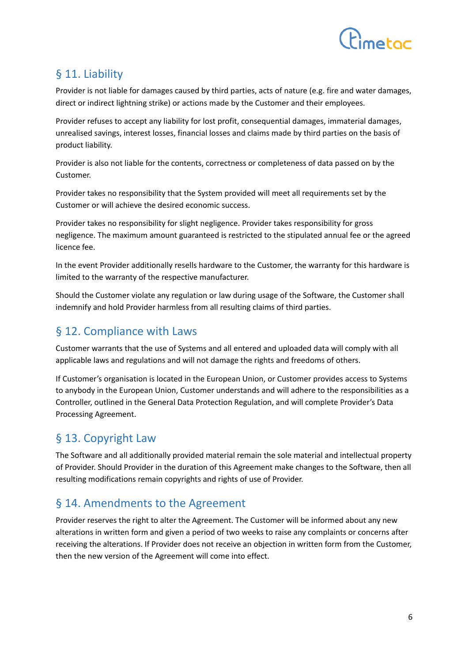

## § 11. Liability

Provider is not liable for damages caused by third parties, acts of nature (e.g. fire and water damages, direct or indirect lightning strike) or actions made by the Customer and their employees.

Provider refuses to accept any liability for lost profit, consequential damages, immaterial damages, unrealised savings, interest losses, financial losses and claims made by third parties on the basis of product liability.

Provider is also not liable for the contents, correctness or completeness of data passed on by the Customer.

Provider takes no responsibility that the System provided will meet all requirements set by the Customer or will achieve the desired economic success.

Provider takes no responsibility for slight negligence. Provider takes responsibility for gross negligence. The maximum amount guaranteed is restricted to the stipulated annual fee or the agreed licence fee.

In the event Provider additionally resells hardware to the Customer, the warranty for this hardware is limited to the warranty of the respective manufacturer.

Should the Customer violate any regulation or law during usage of the Software, the Customer shall indemnify and hold Provider harmless from all resulting claims of third parties.

## § 12. Compliance with Laws

Customer warrants that the use of Systems and all entered and uploaded data will comply with all applicable laws and regulations and will not damage the rights and freedoms of others.

If Customer's organisation is located in the European Union, or Customer provides access to Systems to anybody in the European Union, Customer understands and will adhere to the responsibilities as a Controller, outlined in the General Data Protection Regulation, and will complete Provider's Data Processing Agreement.

## § 13. Copyright Law

The Software and all additionally provided material remain the sole material and intellectual property of Provider. Should Provider in the duration of this Agreement make changes to the Software, then all resulting modifications remain copyrights and rights of use of Provider.

## § 14. Amendments to the Agreement

Provider reserves the right to alter the Agreement. The Customer will be informed about any new alterations in written form and given a period of two weeks to raise any complaints or concerns after receiving the alterations. If Provider does not receive an objection in written form from the Customer, then the new version of the Agreement will come into effect.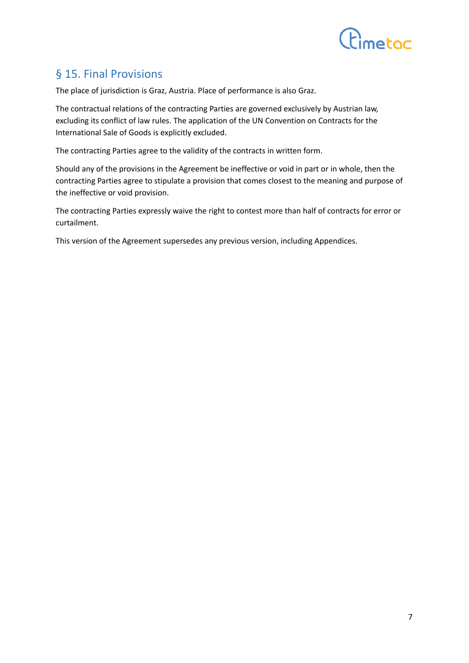

## § 15. Final Provisions

The place of jurisdiction is Graz, Austria. Place of performance is also Graz.

The contractual relations of the contracting Parties are governed exclusively by Austrian law, excluding its conflict of law rules. The application of the UN Convention on Contracts for the International Sale of Goods is explicitly excluded.

The contracting Parties agree to the validity of the contracts in written form.

Should any of the provisions in the Agreement be ineffective or void in part or in whole, then the contracting Parties agree to stipulate a provision that comes closest to the meaning and purpose of the ineffective or void provision.

The contracting Parties expressly waive the right to contest more than half of contracts for error or curtailment.

This version of the Agreement supersedes any previous version, including Appendices.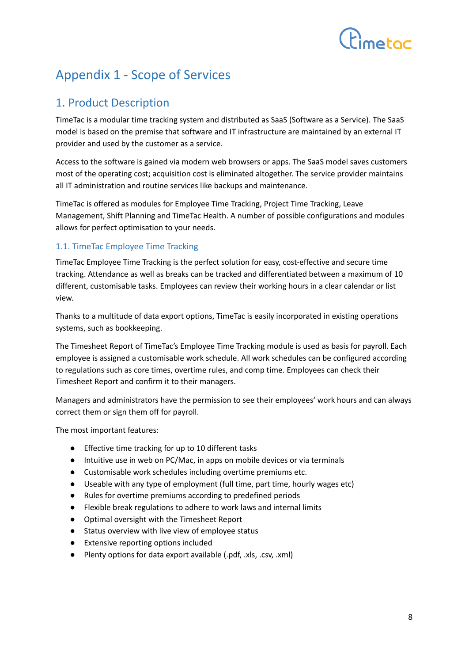# $f<sub>inter</sub>$

## Appendix 1 - Scope of Services

## 1. Product Description

TimeTac is a modular time tracking system and distributed as SaaS (Software as a Service). The SaaS model is based on the premise that software and IT infrastructure are maintained by an external IT provider and used by the customer as a service.

Access to the software is gained via modern web browsers or apps. The SaaS model saves customers most of the operating cost; acquisition cost is eliminated altogether. The service provider maintains all IT administration and routine services like backups and maintenance.

TimeTac is offered as modules for Employee Time Tracking, Project Time Tracking, Leave Management, Shift Planning and TimeTac Health. A number of possible configurations and modules allows for perfect optimisation to your needs.

#### 1.1. TimeTac Employee Time Tracking

TimeTac Employee Time Tracking is the perfect solution for easy, cost-effective and secure time tracking. Attendance as well as breaks can be tracked and differentiated between a maximum of 10 different, customisable tasks. Employees can review their working hours in a clear calendar or list view.

Thanks to a multitude of data export options, TimeTac is easily incorporated in existing operations systems, such as bookkeeping.

The Timesheet Report of TimeTac's Employee Time Tracking module is used as basis for payroll. Each employee is assigned a customisable work schedule. All work schedules can be configured according to regulations such as core times, overtime rules, and comp time. Employees can check their Timesheet Report and confirm it to their managers.

Managers and administrators have the permission to see their employees' work hours and can always correct them or sign them off for payroll.

The most important features:

- Effective time tracking for up to 10 different tasks
- Intuitive use in web on PC/Mac, in apps on mobile devices or via terminals
- Customisable work schedules including overtime premiums etc.
- Useable with any type of employment (full time, part time, hourly wages etc)
- Rules for overtime premiums according to predefined periods
- Flexible break regulations to adhere to work laws and internal limits
- Optimal oversight with the Timesheet Report
- Status overview with live view of employee status
- Extensive reporting options included
- Plenty options for data export available (.pdf, .xls, .csv, .xml)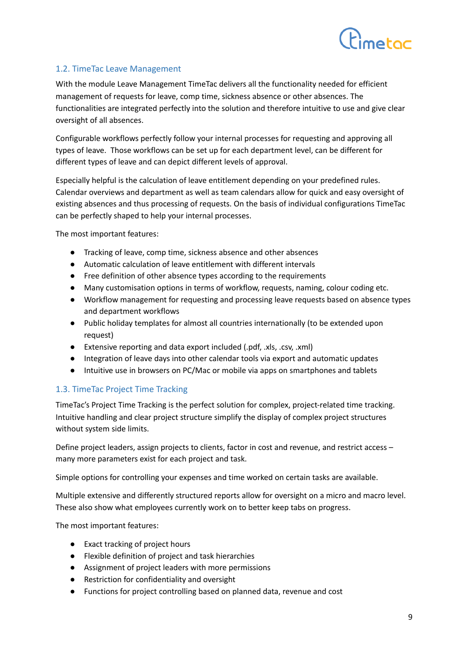

#### 1.2. TimeTac Leave Management

With the module Leave Management TimeTac delivers all the functionality needed for efficient management of requests for leave, comp time, sickness absence or other absences. The functionalities are integrated perfectly into the solution and therefore intuitive to use and give clear oversight of all absences.

Configurable workflows perfectly follow your internal processes for requesting and approving all types of leave. Those workflows can be set up for each department level, can be different for different types of leave and can depict different levels of approval.

Especially helpful is the calculation of leave entitlement depending on your predefined rules. Calendar overviews and department as well as team calendars allow for quick and easy oversight of existing absences and thus processing of requests. On the basis of individual configurations TimeTac can be perfectly shaped to help your internal processes.

The most important features:

- Tracking of leave, comp time, sickness absence and other absences
- Automatic calculation of leave entitlement with different intervals
- Free definition of other absence types according to the requirements
- Many customisation options in terms of workflow, requests, naming, colour coding etc.
- Workflow management for requesting and processing leave requests based on absence types and department workflows
- Public holiday templates for almost all countries internationally (to be extended upon request)
- Extensive reporting and data export included (.pdf, .xls, .csv, .xml)
- Integration of leave days into other calendar tools via export and automatic updates
- Intuitive use in browsers on PC/Mac or mobile via apps on smartphones and tablets

#### 1.3. TimeTac Project Time Tracking

TimeTac's Project Time Tracking is the perfect solution for complex, project-related time tracking. Intuitive handling and clear project structure simplify the display of complex project structures without system side limits.

Define project leaders, assign projects to clients, factor in cost and revenue, and restrict access – many more parameters exist for each project and task.

Simple options for controlling your expenses and time worked on certain tasks are available.

Multiple extensive and differently structured reports allow for oversight on a micro and macro level. These also show what employees currently work on to better keep tabs on progress.

The most important features:

- Exact tracking of project hours
- Flexible definition of project and task hierarchies
- Assignment of project leaders with more permissions
- Restriction for confidentiality and oversight
- Functions for project controlling based on planned data, revenue and cost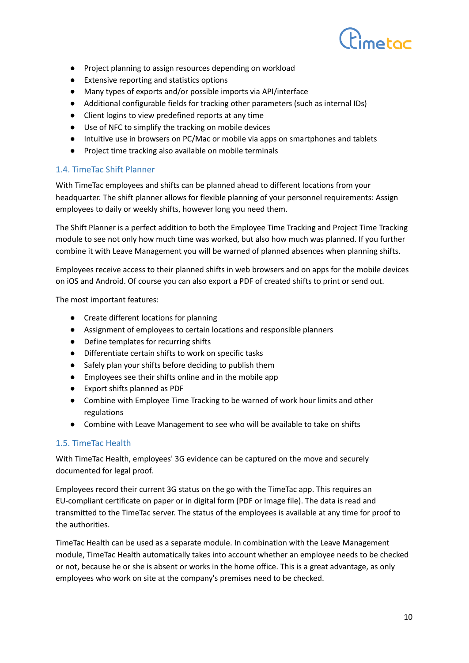

- Project planning to assign resources depending on workload
- Extensive reporting and statistics options
- Many types of exports and/or possible imports via API/interface
- Additional configurable fields for tracking other parameters (such as internal IDs)
- Client logins to view predefined reports at any time
- Use of NFC to simplify the tracking on mobile devices
- Intuitive use in browsers on PC/Mac or mobile via apps on smartphones and tablets
- Project time tracking also available on mobile terminals

#### 1.4. TimeTac Shift Planner

With TimeTac employees and shifts can be planned ahead to different locations from your headquarter. The shift planner allows for flexible planning of your personnel requirements: Assign employees to daily or weekly shifts, however long you need them.

The Shift Planner is a perfect addition to both the Employee Time Tracking and Project Time Tracking module to see not only how much time was worked, but also how much was planned. If you further combine it with Leave Management you will be warned of planned absences when planning shifts.

Employees receive access to their planned shifts in web browsers and on apps for the mobile devices on iOS and Android. Of course you can also export a PDF of created shifts to print or send out.

The most important features:

- Create different locations for planning
- Assignment of employees to certain locations and responsible planners
- Define templates for recurring shifts
- Differentiate certain shifts to work on specific tasks
- Safely plan your shifts before deciding to publish them
- Employees see their shifts online and in the mobile app
- Export shifts planned as PDF
- Combine with Employee Time Tracking to be warned of work hour limits and other regulations
- Combine with Leave Management to see who will be available to take on shifts

#### 1.5. TimeTac Health

With TimeTac Health, employees' 3G evidence can be captured on the move and securely documented for legal proof.

Employees record their current 3G status on the go with the TimeTac app. This requires an EU-compliant certificate on paper or in digital form (PDF or image file). The data is read and transmitted to the TimeTac server. The status of the employees is available at any time for proof to the authorities.

TimeTac Health can be used as a separate module. In combination with the Leave Management module, TimeTac Health automatically takes into account whether an employee needs to be checked or not, because he or she is absent or works in the home office. This is a great advantage, as only employees who work on site at the company's premises need to be checked.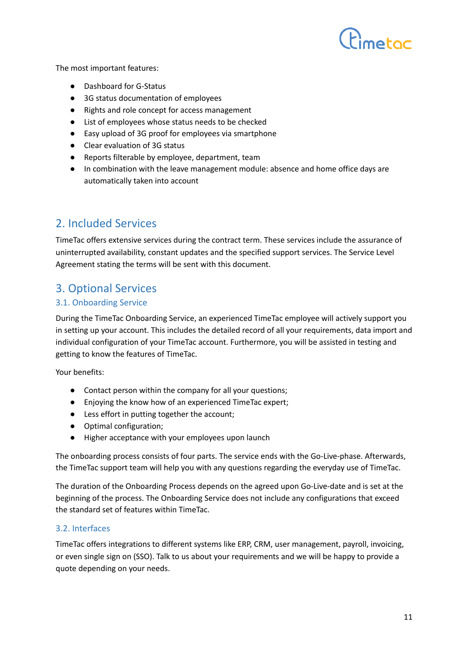

The most important features:

- Dashboard for G-Status
- 3G status documentation of employees
- Rights and role concept for access management
- List of employees whose status needs to be checked
- Easy upload of 3G proof for employees via smartphone
- Clear evaluation of 3G status
- Reports filterable by employee, department, team
- In combination with the leave management module: absence and home office days are automatically taken into account

## 2. Included Services

TimeTac offers extensive services during the contract term. These services include the assurance of uninterrupted availability, constant updates and the specified support services. The Service Level Agreement stating the terms will be sent with this document.

## 3. Optional Services

#### 3.1. Onboarding Service

During the TimeTac Onboarding Service, an experienced TimeTac employee will actively support you in setting up your account. This includes the detailed record of all your requirements, data import and individual configuration of your TimeTac account. Furthermore, you will be assisted in testing and getting to know the features of TimeTac.

Your benefits:

- Contact person within the company for all your questions;
- Enjoying the know how of an experienced TimeTac expert;
- Less effort in putting together the account;
- Optimal configuration;
- Higher acceptance with your employees upon launch

The onboarding process consists of four parts. The service ends with the Go-Live-phase. Afterwards, the TimeTac support team will help you with any questions regarding the everyday use of TimeTac.

The duration of the Onboarding Process depends on the agreed upon Go-Live-date and is set at the beginning of the process. The Onboarding Service does not include any configurations that exceed the standard set of features within TimeTac.

#### 3.2. Interfaces

TimeTac offers integrations to different systems like ERP, CRM, user management, payroll, invoicing, or even single sign on (SSO). Talk to us about your requirements and we will be happy to provide a quote depending on your needs.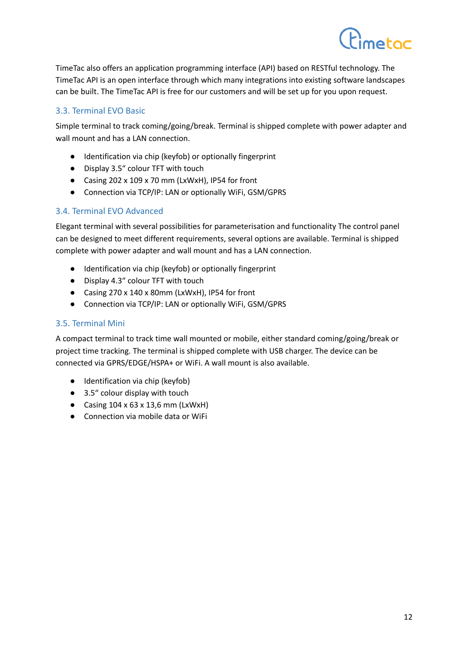TimeTac also offers an application programming interface (API) based on RESTful technology. The TimeTac API is an open interface through which many integrations into existing software landscapes can be built. The TimeTac API is free for our customers and will be set up for you upon request.

#### 3.3. Terminal EVO Basic

Simple terminal to track coming/going/break. Terminal is shipped complete with power adapter and wall mount and has a LAN connection.

- Identification via chip (keyfob) or optionally fingerprint
- Display 3.5" colour TFT with touch
- Casing 202 x 109 x 70 mm (LxWxH), IP54 for front
- Connection via TCP/IP: LAN or optionally WiFi, GSM/GPRS

#### 3.4. Terminal EVO Advanced

Elegant terminal with several possibilities for parameterisation and functionality The control panel can be designed to meet different requirements, several options are available. Terminal is shipped complete with power adapter and wall mount and has a LAN connection.

- Identification via chip (keyfob) or optionally fingerprint
- Display 4.3" colour TFT with touch
- Casing 270 x 140 x 80mm (LxWxH), IP54 for front
- Connection via TCP/IP: LAN or optionally WiFi, GSM/GPRS

#### 3.5. Terminal Mini

A compact terminal to track time wall mounted or mobile, either standard coming/going/break or project time tracking. The terminal is shipped complete with USB charger. The device can be connected via GPRS/EDGE/HSPA+ or WiFi. A wall mount is also available.

- Identification via chip (keyfob)
- 3.5" colour display with touch
- Casing  $104 \times 63 \times 13,6$  mm (LxWxH)
- Connection via mobile data or WiFi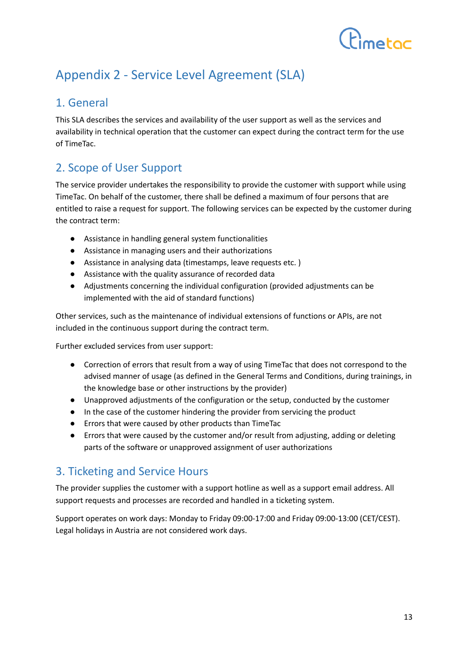# $P_{\text{matter}}$

## Appendix 2 - Service Level Agreement (SLA)

## 1. General

This SLA describes the services and availability of the user support as well as the services and availability in technical operation that the customer can expect during the contract term for the use of TimeTac.

## 2. Scope of User Support

The service provider undertakes the responsibility to provide the customer with support while using TimeTac. On behalf of the customer, there shall be defined a maximum of four persons that are entitled to raise a request for support. The following services can be expected by the customer during the contract term:

- Assistance in handling general system functionalities
- Assistance in managing users and their authorizations
- Assistance in analysing data (timestamps, leave requests etc. )
- Assistance with the quality assurance of recorded data
- Adjustments concerning the individual configuration (provided adjustments can be implemented with the aid of standard functions)

Other services, such as the maintenance of individual extensions of functions or APIs, are not included in the continuous support during the contract term.

Further excluded services from user support:

- Correction of errors that result from a way of using TimeTac that does not correspond to the advised manner of usage (as defined in the General Terms and Conditions, during trainings, in the knowledge base or other instructions by the provider)
- Unapproved adjustments of the configuration or the setup, conducted by the customer
- In the case of the customer hindering the provider from servicing the product
- Errors that were caused by other products than TimeTac
- Errors that were caused by the customer and/or result from adjusting, adding or deleting parts of the software or unapproved assignment of user authorizations

## 3. Ticketing and Service Hours

The provider supplies the customer with a support hotline as well as a support email address. All support requests and processes are recorded and handled in a ticketing system.

Support operates on work days: Monday to Friday 09:00-17:00 and Friday 09:00-13:00 (CET/CEST). Legal holidays in Austria are not considered work days.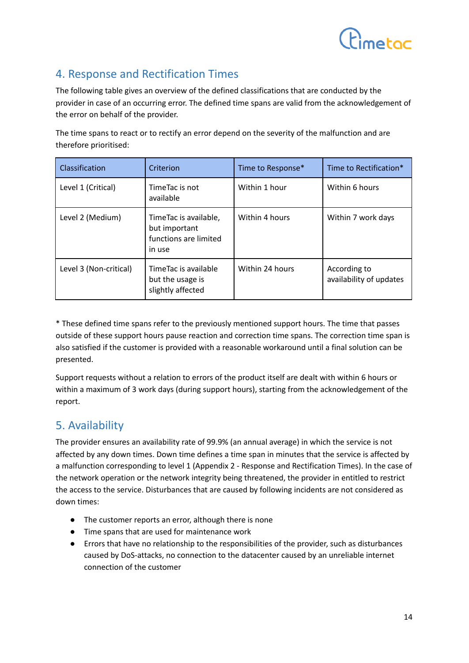

## 4. Response and Rectification Times

The following table gives an overview of the defined classifications that are conducted by the provider in case of an occurring error. The defined time spans are valid from the acknowledgement of the error on behalf of the provider.

The time spans to react or to rectify an error depend on the severity of the malfunction and are therefore prioritised:

| Classification         | Criterion                                                                 | Time to Response* | Time to Rectification*                  |
|------------------------|---------------------------------------------------------------------------|-------------------|-----------------------------------------|
| Level 1 (Critical)     | TimeTac is not<br>available                                               | Within 1 hour     | Within 6 hours                          |
| Level 2 (Medium)       | TimeTac is available,<br>but important<br>functions are limited<br>in use | Within 4 hours    | Within 7 work days                      |
| Level 3 (Non-critical) | TimeTac is available<br>but the usage is<br>slightly affected             | Within 24 hours   | According to<br>availability of updates |

\* These defined time spans refer to the previously mentioned support hours. The time that passes outside of these support hours pause reaction and correction time spans. The correction time span is also satisfied if the customer is provided with a reasonable workaround until a final solution can be presented.

Support requests without a relation to errors of the product itself are dealt with within 6 hours or within a maximum of 3 work days (during support hours), starting from the acknowledgement of the report.

## 5. Availability

The provider ensures an availability rate of 99.9% (an annual average) in which the service is not affected by any down times. Down time defines a time span in minutes that the service is affected by a malfunction corresponding to level 1 (Appendix 2 - Response and Rectification Times). In the case of the network operation or the network integrity being threatened, the provider in entitled to restrict the access to the service. Disturbances that are caused by following incidents are not considered as down times:

- The customer reports an error, although there is none
- Time spans that are used for maintenance work
- Errors that have no relationship to the responsibilities of the provider, such as disturbances caused by DoS-attacks, no connection to the datacenter caused by an unreliable internet connection of the customer